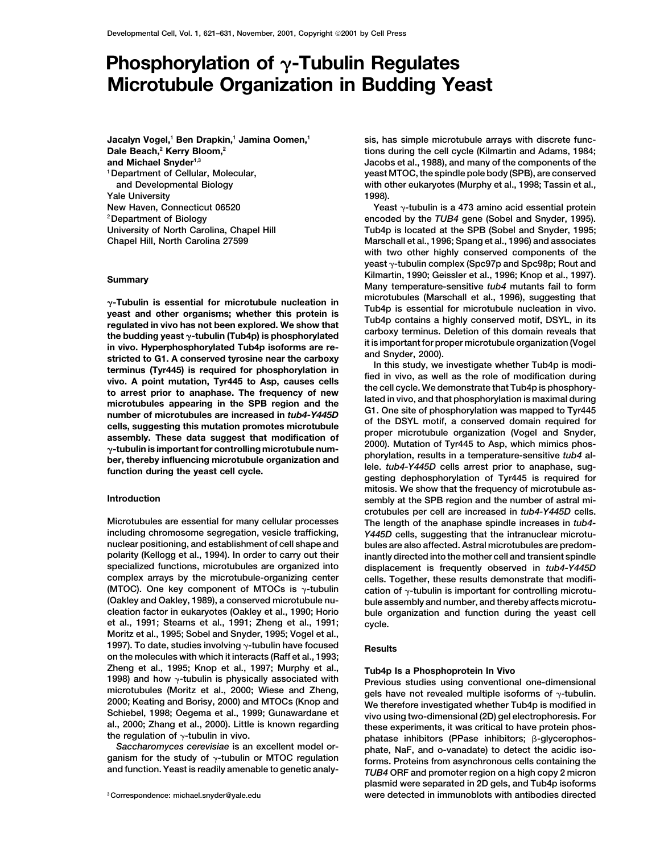## **Phosphorylation of**  $\gamma$ **-Tubulin Regulates Microtubule Organization in Budding Yeast**

**Jacalyn Vogel,1 Ben Drapkin,1 Jamina Oomen,1 Dale Beach,2 Kerry Bloom,2 and Michael Snyder1,3 Yale University 1998). New Haven, Connecticut 06520 Yeast -tubulin is a 473 amino acid essential protein**

 $\gamma$ -Tubulin is essential for microtubule nucleation in<br>
y-Tubulin is essential for microtubule nucleation in<br>
yeast and other organisms; whether this protein is<br>
rub4p is smoother and Tub4p is essential for microtubule n

**et al., 1991; Stearns et al., 1991; Zheng et al., 1991; cycle. Moritz et al., 1995; Sobel and Snyder, 1995; Vogel et al., 1997). To date, studies involving**  $\gamma$ **-tubulin have focused Results on the molecules with which it interacts (Raff et al., 1993;** Zheng et al., 1995; Knop et al., 1997; Murphy et al.,<br>
1998) and how  $\gamma$ -tubulin is physically associated with<br>
microtubules (Moritz et al., 2000; Wiese and Zheng,<br>
2000; Keating and Borisy, 2000) and MTOCs (Knop and<br>
20

**sis, has simple microtubule arrays with discrete functions during the cell cycle (Kilmartin and Adams, 1984; Jacobs et al., 1988), and many of the components of the 1Department of Cellular, Molecular, yeast MTOC, the spindle pole body (SPB), are conserved and Developmental Biology with other eukaryotes (Murphy et al., 1998; Tassin et al.,**

**2Department of Biology encoded by the** *TUB4* **gene (Sobel and Snyder, 1995). University of North Carolina, Chapel Hill Tub4p is located at the SPB (Sobel and Snyder, 1995; Chapel Hill, North Carolina 27599 Marschall et al., 1996; Spang et al., 1996) and associates with two other highly conserved components of the yeast -tubulin complex (Spc97p and Spc98p; Rout and Kilmartin, 1990; Geissler et al., 1996; Knop et al., 1997). Summary Many temperature-sensitive** *tub4* **mutants fail to form**

**mitosis. We show that the frequency of microtubule as-Introduction sembly at the SPB region and the number of astral microtubules per cell are increased in** *tub4-Y445D* **cells. Microtubules are essential for many cellular processes The length of the anaphase spindle increases in** *tub4* **including chromosome segregation, vesicle trafficking,** *Y445D* **cells, suggesting that the intranuclear microtunuclear positioning, and establishment of cell shape and bules are also affected. Astral microtubules are predompolarity (Kellogg et al., 1994). In order to carry out their inantly directed into the mother cell and transient spindle specialized functions, microtubules are organized into displacement is frequently observed in** *tub4-Y445D* **complex arrays by the microtubule-organizing center cells. Together, these results demonstrate that modifi- (MTOC). One key component of MTOCs is -tubulin cation of -tubulin is important for controlling microtu- (Oakley and Oakley, 1989), a conserved microtubule nu- bule assembly and number, and thereby affects microtu**bule organization and function during the yeast cell

2000; Keating and Borisy, 2000) and MTOCs (Knop and  $\frac{1}{20}$  We therefore investigated whether Tub4p is modified in Schiebel, 1998; Oegema et al., 1999; Gunawardane et al., 2000; Zhang et al., 2000). Little is known reg the regulation of γ-tubulin in vivo.<br>
Saccharomyces cerevisiae is an excellent model or-<br>
ganism for the study of γ-tubulin or MTOC regulation<br>
and function. Yeast is readily amenable to genetic analy-<br>
TUB4 ORF and prom **plasmid were separated in 2D gels, and Tub4p isoforms <sup>3</sup> Correspondence: michael.snyder@yale.edu were detected in immunoblots with antibodies directed**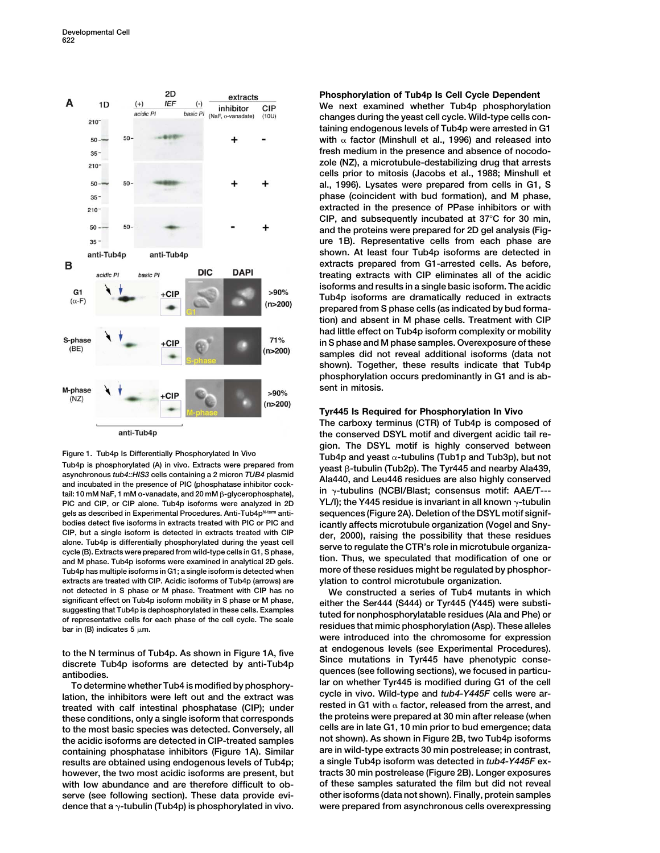

Tub4p is phosphorylated (A) in vivo. Extracts were prepared from yeast  $\beta$ -tubulin (Tub2p). The Tyr445 and nearby Ala439, asynchronous *tub4::HIS3* cells containing a 2 micron *TUB4* plasmid alad 10.1446 and l out 16 reg asynchronous  $\omega_2$ ... This cens containing a 2 micron 700+ plasmic<br>and incubated in the presence of PIC (phosphatase inhibitor cock-<br>tail: 10 mM NaF, 1 mM o-vanadate, and 20 mM  $\beta$ -glycerophosphate), in  $\gamma$ -tubulins (N tail: 10 mM NaF, 1 mM o-vanadate, and 20 mM β-glycerophosphate), PIC and CIP, or CIP alone. Tub4p isoforms were analyzed in 2D gels as described in Experimental Procedures. Anti-Tub4p<sup>N-term</sup> anti-<br> **Sequences (Figure 2A). Deletion of the DSYL motif signifbodies detect five isoforms in extracts treated with PIC or PIC and<br>CIP, but a single isoform is detected in extracts treated with CIP along 2000), rejoing the possibility that these residures** CiP, but a single isolorm is detected in extracts treated with CiP<br>alone. Tub4p is differentially phosphorylated during the yeast cell<br>cycle (B). Extracts were prepared from wild-type cells in G1, S phase,<br>and M phase. Tub **Tub4p has multiple isoforms in G1; a single isoform is detected when more of these residues might be regulated by phosphorextracts are treated with CIP. Acidic isoforms of Tub4p (arrows) are not detected in S phase or M phase. Treatment with CIP has no We constructed a series of Tub4 mutants in which** significant effect on 1ub4p isoform mobility in S phase or M phase,<br>suggesting that Tub4p is dephosphorylated in these cells. Examples<br>of representative cells for each phase of the cell cycle. The scale<br>bar in (B) indicat

**these conditions, only a single isoform that corresponds the proteins were prepared at 30 min after release (when to the most basic species was detected. Conversely, all cells are in late G1, 10 min prior to bud emergence; data the acidic isoforms are detected in CIP-treated samples not shown). As shown in Figure 2B, two Tub4p isoforms** containing phosphatase inhibitors (Figure 1A). Similar **results are obtained using endogenous levels of Tub4p; a single Tub4p isoform was detected in** *tub4-Y445F* **exhowever, the two most acidic isoforms are present, but tracts 30 min postrelease (Figure 2B). Longer exposures with low abundance and are therefore difficult to ob- of these samples saturated the film but did not reveal serve (see following section). These data provide evi- other isoforms (data not shown). Finally, protein samples dence that a -tubulin (Tub4p) is phosphorylated in vivo. were prepared from asynchronous cells overexpressing**

## **Phosphorylation of Tub4p Is Cell Cycle Dependent**

**We next examined whether Tub4p phosphorylation changes during the yeast cell cycle. Wild-type cells containing endogenous levels of Tub4p were arrested in G1 with factor (Minshull et al., 1996) and released into fresh medium in the presence and absence of nocodozole (NZ), a microtubule-destabilizing drug that arrests cells prior to mitosis (Jacobs et al., 1988; Minshull et al., 1996). Lysates were prepared from cells in G1, S phase (coincident with bud formation), and M phase, extracted in the presence of PPase inhibitors or with CIP, and subsequently incubated at 37C for 30 min, and the proteins were prepared for 2D gel analysis (Figure 1B). Representative cells from each phase are shown. At least four Tub4p isoforms are detected in extracts prepared from G1-arrested cells. As before, treating extracts with CIP eliminates all of the acidic isoforms and results in a single basic isoform. The acidic Tub4p isoforms are dramatically reduced in extracts prepared from S phase cells (as indicated by bud formation) and absent in M phase cells. Treatment with CIP had little effect on Tub4p isoform complexity or mobility in S phase and M phase samples. Overexposure of these samples did not reveal additional isoforms (data not shown). Together, these results indicate that Tub4p phosphorylation occurs predominantly in G1 and is absent in mitosis.**

## **Tyr445 Is Required for Phosphorylation In Vivo**

**The carboxy terminus (CTR) of Tub4p is composed of the conserved DSYL motif and divergent acidic tail re-Figure 1. Tub4p Is Differentially Phosphorylated In Vivo** *Tub4p and yeast α-tubulins (Tub1p and Tub3p), but not***<br>Tub4p and yeast α-tubulins (Tub1p and Tub3p), but not** 

**were introduced into the chromosome for expression** to the N terminus of Tub4p. As shown in Figure 1A, five at endogenous levels (see Experimental Procedures).<br>
discrete Tub4p isoforms are detected by anti-Tub4p<br>
antibodies.<br>
To determine whether Tub4 is modified by phospho To determine whether Tub4 is modified by phosphory-<br>lation, the inhibitors were left out and the extract was eycle in vivo. Wild-type and  $tub4-Y445F$  cells were ar-<br>treated with calf intestinal phosphatase (CIP); under res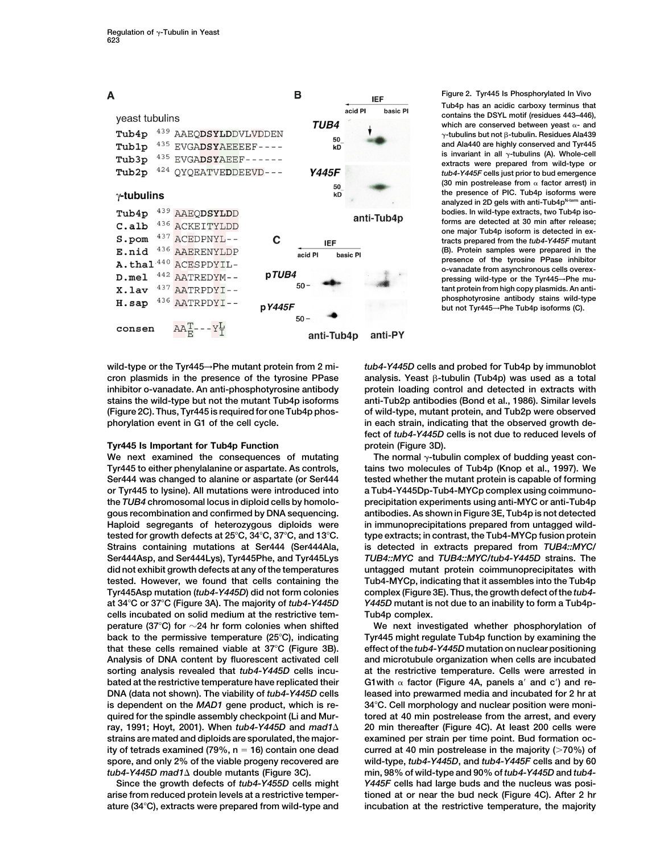

cron plasmids in the presence of the tyrosine PPase

## **Tyr445 Is Important for Tub4p Function protein (Figure 3D).**

**Tyr445 to either phenylalanine or aspartate. As controls, tains two molecules of Tub4p (Knop et al., 1997). We Ser444 was changed to alanine or aspartate (or Ser444 tested whether the mutant protein is capable of forming or Tyr445 to lysine). All mutations were introduced into a Tub4-Y445Dp-Tub4-MYCp complex using coimmunothe** *TUB4* **chromosomal locus in diploid cells by homolo- precipitation experiments using anti-MYC or anti-Tub4p gous recombination and confirmed by DNA sequencing. antibodies. As shown in Figure 3E, Tub4p is not detected** Haploid segregants of heterozygous diploids were in immunoprecipitations prepared from untagged wild**tested for growth defects at 25C, 34C, 37C, and 13C. type extracts; in contrast, the Tub4-MYCp fusion protein Strains containing mutations at Ser444 (Ser444Ala, is detected in extracts prepared from** *TUB4::MYC/* **Ser444Asp, and Ser444Lys), Tyr445Phe, and Tyr445Lys** *TUB4::MYC* **and** *TUB4::MYC/tub4-Y445D* **strains. The did not exhibit growth defects at any of the temperatures untagged mutant protein coimmunoprecipitates with tested. However, we found that cells containing the Tub4-MYCp, indicating that it assembles into the Tub4p Tyr445Asp mutation (***tub4-Y445D***) did not form colonies complex (Figure 3E). Thus, the growth defect of the** *tub4* **at 34C or 37C (Figure 3A). The majority of** *tub4-Y445D Y445D* **mutant is not due to an inability to form a Tub4pcells incubated on solid medium at the restrictive tem- Tub4p complex. perature (37C) for 24 hr form colonies when shifted We next investigated whether phosphorylation of back to the permissive temperature (25C), indicating Tyr445 might regulate Tub4p function by examining the that these cells remained viable at 37C (Figure 3B). effect of the** *tub4-Y445D* **mutation on nuclear positioning Analysis of DNA content by fluorescent activated cell and microtubule organization when cells are incubated sorting analysis revealed that** *tub4-Y445D* **cells incu- at the restrictive temperature. Cells were arrested in bated at the restrictive temperature have replicated their** G1with  $\alpha$  factor (Figure 4A, panels a' and c') and re-**DNA (data not shown). The viability of** *tub4-Y445D* **cells leased into prewarmed media and incubated for 2 hr at is dependent on the** *MAD1* **gene product, which is re- 34C. Cell morphology and nuclear position were moniquired for the spindle assembly checkpoint (Li and Mur- tored at 40 min postrelease from the arrest, and every ray, 1991; Hoyt, 2001). When** *tub4-Y445D* **and** *mad1* **20 min thereafter (Figure 4C). At least 200 cells were strains are mated and diploids are sporulated, the major- examined per strain per time point. Bud formation ocity of tetrads examined (79%, n 16) contain one dead curred at 40 min postrelease in the majority ( 70%) of spore, and only 2% of the viable progeny recovered are wild-type,** *tub4-Y445D***, and** *tub4-Y445F* **cells and by 60**

**arise from reduced protein levels at a restrictive temper- tioned at or near the bud neck (Figure 4C). After 2 hr ature (34C), extracts were prepared from wild-type and incubation at the restrictive temperature, the majority**

**Figure 2. Tyr445 Is Phosphorylated In Vivo Tub4p has an acidic carboxy terminus that contains the DSYL motif (residues 443–446),** which are conserved between yeast  $\alpha$ - and  $\gamma$ -tubulins but not  $\beta$ -tubulin. Residues Ala439 **and Ala440 are highly conserved and Tyr445** is invariant in all  $\gamma$ -tubulins (A). Whole-cell **extracts were prepared from wild-type or** *tub4-Y445F* **cells just prior to bud emergence (30 min postrelease from factor arrest) in the presence of PIC. Tub4p isoforms were** analyzed in 2D gels with anti-Tub4p<sup>N-term</sup> anti**bodies. In wild-type extracts, two Tub4p isoforms are detected at 30 min after release; one major Tub4p isoform is detected in extracts prepared from the** *tub4-Y445F* **mutant (B). Protein samples were prepared in the presence of the tyrosine PPase inhibitor o-vanadate from asynchronous cells overexpressing wild-type or the Tyr445**→**Phe mutant protein from high copy plasmids. An antiphosphotyrosine antibody stains wild-type but not Tyr445**→**Phe Tub4p isoforms (C).**

**wild-type or the Tyr445**→**Phe mutant protein from 2 mi-** *tub4-Y445D* **cells and probed for Tub4p by immunoblot** analysis. Yeast **ß-tubulin** (Tub4p) was used as a total **inhibitor o-vanadate. An anti-phosphotyrosine antibody protein loading control and detected in extracts with stains the wild-type but not the mutant Tub4p isoforms anti-Tub2p antibodies (Bond et al., 1986). Similar levels (Figure 2C). Thus, Tyr445 is required for one Tub4p phos- of wild-type, mutant protein, and Tub2p were observed phorylation event in G1 of the cell cycle. in each strain, indicating that the observed growth defect of** *tub4-Y445D* **cells is not due to reduced levels of**

We next examined the consequences of mutating The normal  $\gamma$ -tubulin complex of budding yeast con-

*tub4-Y445D mad1* **double mutants (Figure 3C). min, 98% of wild-type and 90% of** *tub4-Y445D* **and** *tub4-* **Since the growth defects of** *tub4-Y455D* **cells might** *Y445F* **cells had large buds and the nucleus was posi-**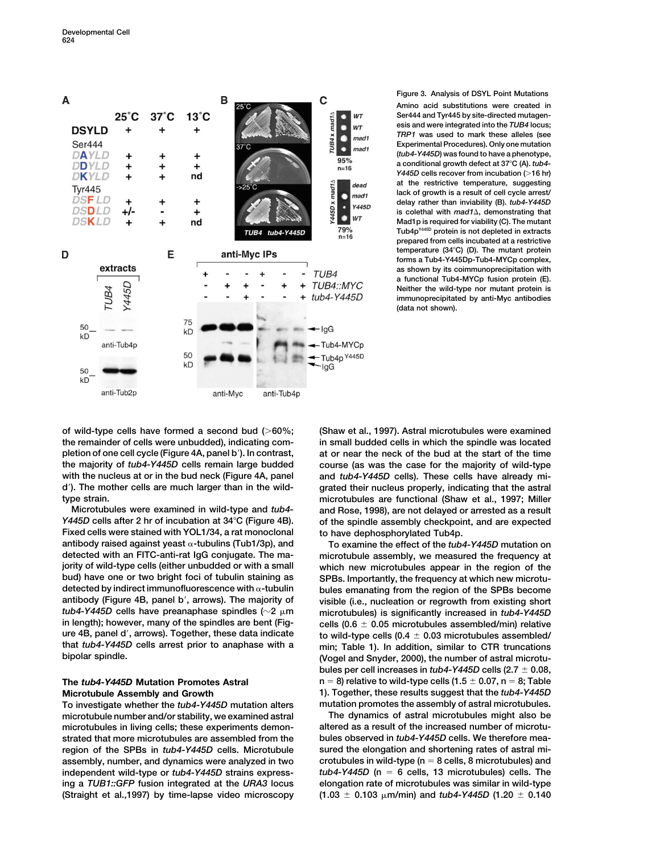B  $\mathbf c$ A  $25^{\circ}$ C  $37^\circ C$  $13^{\circ}$ C WT  $UB4 \times mad1\Delta$ **DSYLD** о WT  $\ddotmark$ o  $mad<sub>1</sub>$ **Ser444** ٠ mad1 DAYLD  $\ddot{}$  $95%$ **DDYLD**  $\ddotmark$ ÷  $\ddotmark$  $n=16$ nd **DKYLD** ÷ **Y445D** x mad1 dead **Tyr445** mad1 о **DSFLD**  $\ddot{}$  $\ddot{}$ **Y445D DSDLD**  $+/-$ ÷, ÷  $\bullet$  $WT$ DSKLD nd 79% TUB4 tub4-Y445D  $n = 16$ D E anti-Myc IPs extracts TUB4  $\overline{1}$ Y445D  $\ddot{}$ TUB4::MYC  $\ddot{}$ 4  $\ddot{}$ **TUB4** tub4-Y445D  $\ddotmark$  $\ddot{}$ 75 50 - IgG  $KD$  $KD$ Tub4-MYCp anti-Tub4p 50 Tub4p Y445D  $kD$  $\lceil \lg G \rceil$ 50  $KD$ anti-Tub2p anti-Tub4p anti-Myc

**Figure 3. Analysis of DSYL Point Mutations Amino acid substitutions were created in Ser444 and Tyr445 by site-directed mutagenesis and were integrated into the** *TUB4* **locus;** *TRP1* **was used to mark these alleles (see Experimental Procedures). Only one mutation (***tub4-Y445D***) was found to have a phenotype, a conditional growth defect at 37C (A).** *tub4- Y445D* **cells recover from incubation ( 16 hr) at the restrictive temperature, suggesting lack of growth is a result of cell cycle arrest/ delay rather than inviability (B).** *tub4-Y445D* **is colethal with** *mad1***, demonstrating that Mad1p is required for viability (C). The mutant Tub4pY445D protein is not depleted in extracts prepared from cells incubated at a restrictive temperature (34C) (D). The mutant protein forms a Tub4-Y445Dp-Tub4-MYCp complex, as shown by its coimmunoprecipitation with a functional Tub4-MYCp fusion protein (E). Neither the wild-type nor mutant protein is immunoprecipitated by anti-Myc antibodies (data not shown).**

**of wild-type cells have formed a second bud ( 60%; (Shaw et al., 1997). Astral microtubules were examined the remainder of cells were unbudded), indicating com- in small budded cells in which the spindle was located pletion of one cell cycle (Figure 4A, panel b). In contrast, at or near the neck of the bud at the start of the time the majority of** *tub4-Y445D* **cells remain large budded course (as was the case for the majority of wild-type with the nucleus at or in the bud neck (Figure 4A, panel and** *tub4-Y445D* **cells). These cells have already mid). The mother cells are much larger than in the wild- grated their nucleus properly, indicating that the astral type strain. microtubules are functional (Shaw et al., 1997; Miller**

*Y445D* **cells after 2 hr of incubation at 34C (Figure 4B). of the spindle assembly checkpoint, and are expected Fixed cells were stained with YOL1/34, a rat monoclonal to have dephosphorylated Tub4p. antibody raised against yeast -tubulins (Tub1/3p), and To examine the effect of the** *tub4-Y445D* **mutation on detected with an FITC-anti-rat IgG conjugate. The ma- microtubule assembly, we measured the frequency at jority of wild-type cells (either unbudded or with a small which new microtubules appear in the region of the bud) have one or two bright foci of tubulin staining as SPBs. Importantly, the frequency at which new microtudetected by indirect immunofluorescence with -tubulin bules emanating from the region of the SPBs become antibody (Figure 4B, panel b, arrows). The majority of visible (i.e., nucleation or regrowth from existing short** *tub4-Y445D* **cells have preanaphase spindles (2 m microtubules) is significantly increased in** *tub4-Y445D* in length); however, many of the spindles are bent (Fig**ure 4B, panel d, arrows). Together, these data indicate to wild-type cells (0.4 that** *tub4-Y445D* **cells arrest prior to anaphase with a min; Table 1). In addition, similar to CTR truncations**

# **The** *tub4-Y445D* **Mutation Promotes Astral**

**To investigate whether the** *tub4-Y445D* **mutation alters mutation promotes the assembly of astral microtubules. microtubule number and/or stability, we examined astral The dynamics of astral microtubules might also be microtubules in living cells; these experiments demon- altered as a result of the increased number of microtustrated that more microtubules are assembled from the bules observed in** *tub4-Y445D* **cells. We therefore mearegion of the SPBs in** *tub4-Y445D* **cells. Microtubule sured the elongation and shortening rates of astral miassembly, number, and dynamics were analyzed in two crotubules in wild-type (n 8 cells, 8 microtubules) and independent wild-type or** *tub4-Y445D* **strains express-** *tub4-Y445D* **(n 6 cells, 13 microtubules) cells. The ing a** *TUB1::GFP* **fusion integrated at the** *URA3* **locus elongation rate of microtubules was similar in wild-type (Straight et al., 1997) by time-lapse video microscopy** 

**Microtubules were examined in wild-type and** *tub4-* **and Rose, 1998), are not delayed or arrested as a result**

 **0.05 microtubules assembled/min) relative** to wild-type cells  $(0.4 \pm 0.03$  microtubules assembled/ **bipolar spindle. (Vogel and Snyder, 2000), the number of astral microtubules per cell increases in** *tub4-Y445D* **cells (2.7 0.08,**  $n = 8$ ) relative to wild-type cells  $(1.5 \pm 0.07, n = 8;$  Table **Microtubule Assembly and Growth 1). Together, these results suggest that the** *tub4-Y445D*

**0.103 m/min) and** *tub4-Y445D* **(1.20 0.140**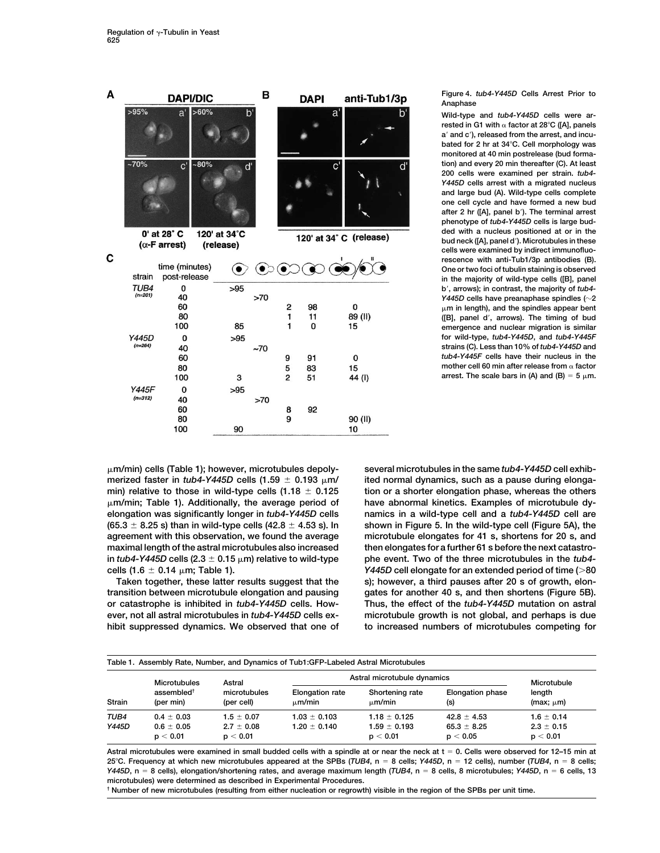| А |                    | <b>DAPI/DIC</b>                                        |        |                      | в   |                          | <b>DAPI</b>    | anti-Tub1/3p            |              |  |
|---|--------------------|--------------------------------------------------------|--------|----------------------|-----|--------------------------|----------------|-------------------------|--------------|--|
|   | >95%               | a'                                                     | >60%   | $\mathsf{b}'$        |     |                          |                | a'                      | $b^{\prime}$ |  |
|   | $-70%$             | $\mathbf{C}^{\mathsf{T}}$                              | $-80%$ | ď                    |     |                          |                | $\mathbf{C}^{\prime}$   | ď            |  |
|   |                    | 0' at 28° C                                            |        | 120' at 34°C         |     |                          |                | 120' at 34° C (release) |              |  |
| C | strain             | $(\alpha$ -F arrest)<br>time (minutes)<br>post-release |        | (release)<br>$\odot$ |     | $\widetilde{\bullet}$    |                |                         |              |  |
|   | TUB4<br>$(n=201)$  | 0<br>40<br>60<br>80                                    |        | >95                  | >70 | 2<br>$\mathbf{1}$        | 98<br>11       | 0<br>89 (II)            |              |  |
|   | <b>Y445D</b>       | 100<br>0                                               |        | 85<br>>95            |     | 1                        | 0              | 15                      |              |  |
|   | $(n=264)$          | 40<br>60<br>80<br>100                                  |        | 3                    | ~1  | 9<br>5<br>$\overline{2}$ | 91<br>83<br>51 | 0<br>15<br>44 (l)       |              |  |
|   | Y445F<br>$(n=312)$ | 0<br>40<br>60                                          |        | >95                  | >70 | 8                        | 92             |                         |              |  |
|   |                    | 80<br>100                                              |        | 90                   |     | 9                        |                | 90 (II)<br>10           |              |  |

**Figure 4.** *tub4-Y445D* **Cells Arrest Prior to Anaphase**

**Wild-type and** *tub4-Y445D* **cells were arrested in G1 with factor at 28C ([A], panels a and c), released from the arrest, and incubated for 2 hr at 34C. Cell morphology was monitored at 40 min postrelease (bud formation) and every 20 min thereafter (C). At least 200 cells were examined per strain.** *tub4- Y445D* **cells arrest with a migrated nucleus and large bud (A). Wild-type cells complete one cell cycle and have formed a new bud after 2 hr ([A], panel b). The terminal arrest phenotype of** *tub4-Y445D* **cells is large budded with a nucleus positioned at or in the bud neck ([A], panel d). Microtubules in these cells were examined by indirect immunofluorescence with anti-Tub1/3p antibodies (B). One or two foci of tubulin staining is observed in the majority of wild-type cells ([B], panel b, arrows); in contrast, the majority of** *tub4- Y445D* **cells have preanaphase spindles (2 m in length), and the spindles appear bent ([B], panel d, arrows). The timing of bud emergence and nuclear migration is similar for wild-type,** *tub4-Y445D***, and** *tub4-Y445F* **strains (C). Less than 10% of** *tub4-Y445D* **and** *tub4-Y445F* **cells have their nucleus in the mother cell 60 min after release from factor** arrest. The scale bars in (A) and (B)  $=$  5  $\mu$ m.

**merized faster in** *tub4-Y445D* **cells (1.59 min) relative to those in wild-type cells (1.18 (65.3 8.25 s) than in wild-type cells (42.8** in *tub4-Y445D* cells (2.3  $\pm$  0.15  $\mu$ m) relative to wild-type cells  $(1.6 \pm 0.14 \mu m)$ ; Table 1).

**transition between microtubule elongation and pausing gates for another 40 s, and then shortens (Figure 5B). or catastrophe is inhibited in** *tub4-Y445D* **cells. How- Thus, the effect of the** *tub4-Y445D* **mutation on astral ever, not all astral microtubules in** *tub4-Y445D* **cells ex- microtubule growth is not global, and perhaps is due hibit suppressed dynamics. We observed that one of to increased numbers of microtubules competing for**

**m/min) cells (Table 1); however, microtubules depoly- several microtubules in the same** *tub4-Y445D* **cell exhib**ited normal dynamics, such as a pause during elonga- **0.125 tion or a shorter elongation phase, whereas the others m/min; Table 1). Additionally, the average period of have abnormal kinetics. Examples of microtubule dyelongation was significantly longer in** *tub4-Y445D* **cells namics in a wild-type cell and a** *tub4-Y445D* **cell are 4.53 s). In shown in Figure 5. In the wild-type cell (Figure 5A), the agreement with this observation, we found the average microtubule elongates for 41 s, shortens for 20 s, and maximal length of the astral microtubules also increased then elongates for a further 61 s before the next catastro**phe event. Two of the three microtubules in the *tub4-* **0.14 m; Table 1).** *Y445D* **cell elongate for an extended period of time ( 80 Taken together, these latter results suggest that the s); however, a third pauses after 20 s of growth, elon-**

|               | <b>Microtubules</b>                 | Astral                     | Astral microtubule dynamics           | Microtubule                    |                                |                            |
|---------------|-------------------------------------|----------------------------|---------------------------------------|--------------------------------|--------------------------------|----------------------------|
| <b>Strain</b> | assembled <sup>+</sup><br>(per min) | microtubules<br>(per cell) | <b>Elongation rate</b><br>$\mu$ m/min | Shortening rate<br>$\mu$ m/min | <b>Elongation phase</b><br>(s) | length<br>$(max; \mu m)$   |
| TUB4          | $0.4 \pm 0.03$                      | $1.5 \pm 0.07$             | $1.03 \pm 0.103$                      | $1.18 \pm 0.125$               | $42.8 \pm 4.53$                | $1.6 \pm 0.14$             |
| Y445D         | $0.6 \pm 0.05$<br>p < 0.01          | $2.7 \pm 0.08$<br>p < 0.01 | $1.20 \pm 0.140$                      | $1.59 \pm 0.193$<br>p < 0.01   | $65.3 \pm 8.25$<br>p < 0.05    | $2.3 \pm 0.15$<br>p < 0.01 |

**Astral microtubules were examined in small budded cells with a spindle at or near the neck at t 0. Cells were observed for 12–15 min at 25C. Frequency at which new microtubules appeared at the SPBs (***TUB4***, n 8 cells;** *Y445D***, n 12 cells), number (***TUB4***, n 8 cells;** *Y445D***, n 8 cells), elongation/shortening rates, and average maximum length (***TUB4***, n 8 cells, 8 microtubules;** *Y445D***, n 6 cells, 13 microtubules) were determined as described in Experimental Procedures.**

**† Number of new microtubules (resulting from either nucleation or regrowth) visible in the region of the SPBs per unit time.**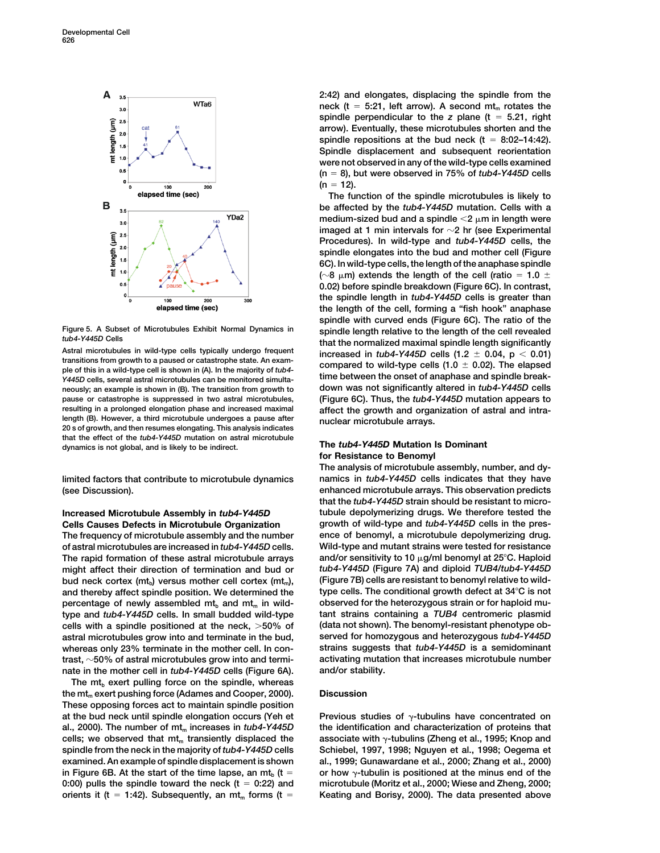

Astral microtubules in wild-type cells typically undergo frequent<br>transitions from growth to a paused or catastrophe state. An exam-<br>ple of this in a wild-type cell is shown in (A). In the majority of *tub4*-<br>compared to ple of this in a wild-type cell is shown in (A). In the majority of tub4-<br> *Y445D* cells, several astral microtubules can be monitored simulta-<br> *Y445D* cells, several astral microtubules can be monitored simulta-<br> **down w** neously; an example is shown in (B). The transition from growth to **pause or catastrophe is suppressed in two astral microtubules, (Figure 6C). Thus, the** *tub4-Y445D* **mutation appears to resulting in a prolonged elongation phase and increased maximal affect the growth and organization of astral and intralength (B). However, a third microtubule undergoes a pause after nuclear microtubule arrays. 20 s of growth, and then resumes elongating. This analysis indicates that the effect of the** *tub4-Y445D* **mutation on astral microtubule dynamics is not global, and is likely to be indirect. The** *tub4-Y445D* **Mutation Is Dominant**

**(see Discussion). enhanced microtubule arrays. This observation predicts**

**The frequency of microtubule assembly and the number ence of benomyl, a microtubule depolymerizing drug. of astral microtubules are increased in** *tub4-Y445D* **cells. Wild-type and mutant strains were tested for resistance The rapid formation of these astral microtubule arrays and/or sensitivity to 10 g/ml benomyl at 25C. Haploid might affect their direction of termination and bud or** *tub4-Y445D* **(Figure 7A) and diploid** *TUB4/tub4-Y445D* bud neck cortex (mt<sub>b</sub>) versus mother cell cortex (mt<sub>m</sub>), (Figure 7B) cells are resistant to benomyl relative to wild-<br>and thereby affect spindle position. We determined the type cells. The conditional growth defect at 34 and thereby affect spindle position. We determined the percentage of newly assembled mt<sub>ia</sub> and mt<sub>in</sub> in wild-<br> **both** type and *tub4-Y445D* cells. In small budded wild-type tant strains containing a TUB4 centromeric plasmid **type and** *tub4-Y445D* **cells. In small budded wild-type cells with a spindle positioned at the neck, 50% of (data not shown). The benomyl-resistant phenotype obastral microtubules grow into and terminate in the bud, served for homozygous and heterozygous** *tub4-Y445D* **whereas only 23% terminate in the mother cell. In con- strains suggests that** *tub4-Y445D* **is a semidominant trast, 50% of astral microtubules grow into and termi- activating mutation that increases microtubule number nate in the mother cell in** *tub4-Y445D* **cells (Figure 6A). and/or stability.**

The mt<sub>b</sub> exert pulling force on the spindle, whereas **the mt<sub>m</sub> exert pushing force (Adames and Cooper, 2000). Discussion These opposing forces act to maintain spindle position** at the bud neck until spindle elongation occurs (Yeh et Previous studies of  $\gamma$ -tubulins have concentrated on al., 2000). The number of mt<sub>m</sub> increases in *tub4-Y445D* the identification and characterization of proteins that cells; we observed that mt<sub>m</sub> transiently displaced the associate with  $\gamma$ -tubulins (Zheng et al., 1995; Knop and **spindle from the neck in the majority of** *tub4-Y445D* **cells Schiebel, 1997, 1998; Nguyen et al., 1998; Oegema et examined. An example of spindle displacement is shown al., 1999; Gunawardane et al., 2000; Zhang et al., 2000)** in Figure 6B. At the start of the time lapse, an mt<sub>h</sub>  $(t = \cdot \cdot)$  or how  $\gamma$ -tubulin is positioned at the minus end of the **0:00) pulls the spindle toward the neck (t 0:22) and microtubule (Moritz et al., 2000; Wiese and Zheng, 2000;**  $i$  orients it (t = 1:42). Subsequently, an mt<sub>m</sub> forms (t = Keating and Borisy, 2000). The data presented above

**2:42) and elongates, displacing the spindle from the** neck ( $t = 5:21$ , left arrow). A second  $mt_m$  rotates the **spindle perpendicular to the** *z* **plane (t 5.21, right arrow). Eventually, these microtubules shorten and the** spindle repositions at the bud neck  $(t = 8:02-14:42)$ . **Spindle displacement and subsequent reorientation were not observed in any of the wild-type cells examined (n 8), but were observed in 75% of** *tub4-Y445D* **cells**  $(n = 12)$ .

**The function of the spindle microtubules is likely to be affected by the** *tub4-Y445D* **mutation. Cells with a** medium-sized bud and a spindle  $\leq 2 \mu$ m in length were **imaged at 1 min intervals for 2 hr (see Experimental Procedures). In wild-type and** *tub4-Y445D* **cells, the spindle elongates into the bud and mother cell (Figure 6C). In wild-type cells, the length of the anaphase spindle** ( $\sim$ 8  $\upmu$ m) extends the length of the cell (ratio = 1.0  $\pm$ **0.02) before spindle breakdown (Figure 6C). In contrast, the spindle length in** *tub4-Y445D* **cells is greater than the length of the cell, forming a "fish hook" anaphase spindle with curved ends (Figure 6C). The ratio of the** Figure 5. A Subset of Microtubules Exhibit Normal Dynamics in spindle length relative to the length of the cell revealed<br>that the normalized maximal spindle length significantly Astral microtubules in wild-type cells typically undergo frequent increased in  $tub4-Y445D$  cells  $(1.2 \pm 0.04, p < 0.01)$ <br>transitions from growth to a paused or catastrophe state. An exam-

## **for Resistance to Benomyl**

**The analysis of microtubule assembly, number, and dylimited factors that contribute to microtubule dynamics namics in** *tub4-Y445D* **cells indicates that they have that the** *tub4-Y445D* **strain should be resistant to micro-Increased Microtubule Assembly in** *tub4-Y445D* **tubule depolymerizing drugs. We therefore tested the Cells Causes Defects in Microtubule Organization growth of wild-type and** *tub4-Y445D* **cells in the pres-**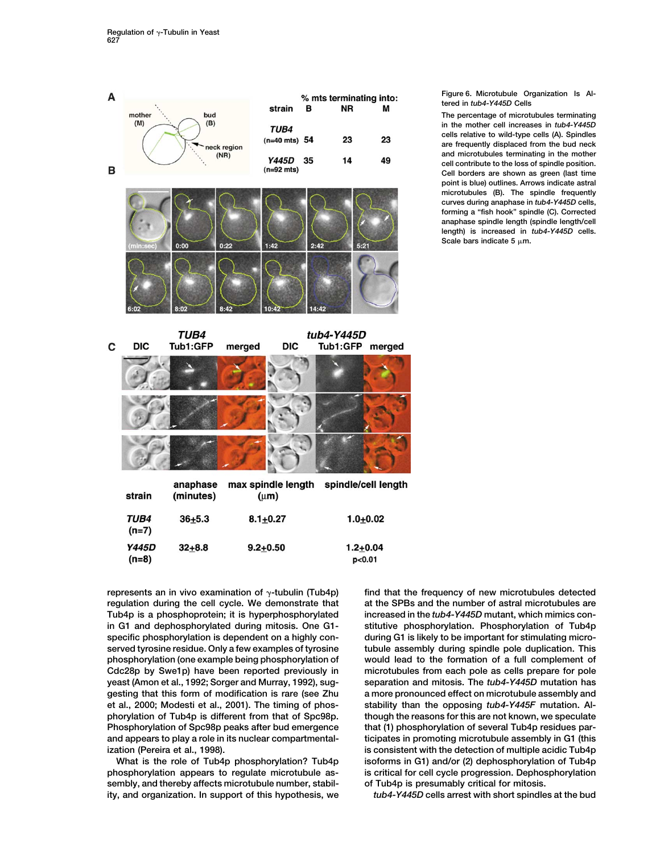

**regulation during the cell cycle. We demonstrate that at the SPBs and the number of astral microtubules are in G1 and dephosphorylated during mitosis. One G1- stitutive phosphorylation. Phosphorylation of Tub4p yeast (Amon et al., 1992; Sorger and Murray, 1992), sug- separation and mitosis. The** *tub4-Y445D* **mutation has**

**sembly, and thereby affects microtubule number, stabil- of Tub4p is presumably critical for mitosis. ity, and organization. In support of this hypothesis, we** *tub4-Y445D* **cells arrest with short spindles at the bud**

**represents an in vivo examination of -tubulin (Tub4p) find that the frequency of new microtubules detected Tub4p is a phosphoprotein; it is hyperphosphorylated increased in the** *tub4-Y445D* **mutant, which mimics conspecific phosphorylation is dependent on a highly con- during G1 is likely to be important for stimulating microserved tyrosine residue. Only a few examples of tyrosine tubule assembly during spindle pole duplication. This phosphorylation (one example being phosphorylation of would lead to the formation of a full complement of Cdc28p by Swe1p) have been reported previously in microtubules from each pole as cells prepare for pole gesting that this form of modification is rare (see Zhu a more pronounced effect on microtubule assembly and et al., 2000; Modesti et al., 2001). The timing of phos- stability than the opposing** *tub4-Y445F* **mutation. Alphorylation of Tub4p is different from that of Spc98p. though the reasons for this are not known, we speculate** Phosphorylation of Spc98p peaks after bud emergence that (1) phosphorylation of several Tub4p residues par**and appears to play a role in its nuclear compartmental- ticipates in promoting microtubule assembly in G1 (this ization (Pereira et al., 1998). is consistent with the detection of multiple acidic Tub4p What is the role of Tub4p phosphorylation? Tub4p isoforms in G1) and/or (2) dephosphorylation of Tub4p phosphorylation appears to regulate microtubule as- is critical for cell cycle progression. Dephosphorylation**

### **Figure 6. Microtubule Organization Is Altered in** *tub4-Y445D* **Cells**

**The percentage of microtubules terminating in the mother cell increases in** *tub4-Y445D* **cells relative to wild-type cells (A). Spindles are frequently displaced from the bud neck and microtubules terminating in the mother cell contribute to the loss of spindle position. Cell borders are shown as green (last time point is blue) outlines. Arrows indicate astral microtubules (B). The spindle frequently curves during anaphase in** *tub4-Y445D* **cells, forming a "fish hook" spindle (C). Corrected anaphase spindle length (spindle length/cell length) is increased in** *tub4-Y445D* **cells.** Scale bars indicate  $5 \mu m$ .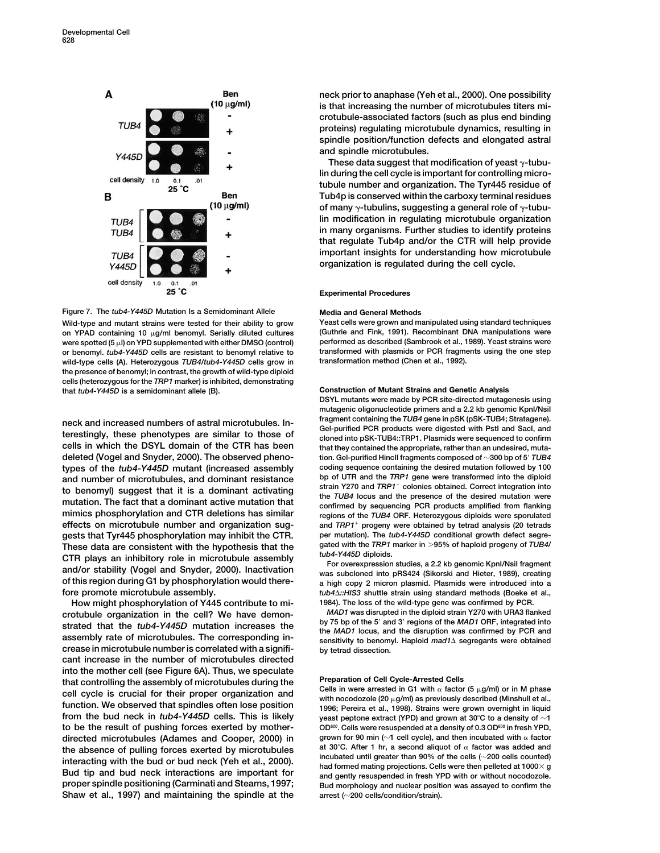



**on YPAD containing 10 g/ml benomyl. Serially diluted cultures (Guthrie and Fink, 1991). Recombinant DNA manipulations were** were spotted (5  $\mu$ I) on YPD supplemented with either DMSO (control) **or benomyl.** *tub4-Y445D* **cells are resistant to benomyl relative to transformed with plasmids or PCR fragments using the one step** wild-type cells (A). Heterozygous *TUB4/tub4-Y445D* cells grow in **the presence of benomyl; in contrast, the growth of wild-type diploid cells (heterozygous for the** *TRP1* **marker) is inhibited, demonstrating that** *tub4-Y445D* **is a semidominant allele (B). Construction of Mutant Strains and Genetic Analysis**

**deleted (Vogel and Snyder, 2000). The observed pheno- tion. Gel-purified HincII fragments composed of 300 bp of 5** *TUB4* **types of the** *tub4-Y445D* **mutant (increased assembly coding sequence containing the desired mutation followed by 100** and number of microtubules, and dominant resistance<br>to benomyl) suggest that it is a dominant activating<br>mutation. The fact that a dominant active mutation that<br>mimics phosphorylation and CTR deletions has similar<br>minics **and** *TRP1* **effects on microtubule number and organization sug- progeny were obtained by tetrad analysis (20 tetrads** gests that Tyr445 phosphorylation may inhibit the CTR. per mutation). The *tub4-Y445D* conditional growth defect segre-<br>These data are consistent with the hypothesis that the gated with the *TRP1* marker in >95% of haploid These data are consistent with the hypothesis that the gated with the *IRP1* marker in >95% of haploid progeny of *IUB4/*<br>CTR plays an inhibitory role in microtubule assembly<br>and/or stability (Vogel and Snyder, 2000). Inac **of this region during G1 by phosphorylation would there- a** high copy 2 micron plasmid. Plasmids were introduced into a **fore promote microtubule assembly.** *tub4\::HIS3* shuttle strain using standard methods (Boeke e

**How might phosphorylation of Y445 contribute to mi- 1984). The loss of the wild-type gene was confirmed by PCR.** crotubule organization in the cell? We have demon-<br>strated that the tub4-Y445D mutation increases the<br>assembly rate of microtubules. The corresponding in-<br>assembly rate of microtubules. The corresponding in-<br>sensitivity t **crease in microtubule number is correlated with a signifi- by tetrad dissection. cant increase in the number of microtubules directed into the mother cell (see Figure 6A). Thus, we speculate** that controlling the assembly of microtubules during the<br>
cell cycle is crucial for their proper organization and<br>
function. We observed that spindles often lose position<br>
from the bud neck in *tub4-Y445D* cells. This is from the bud neck in *tub4-Y445D* cells. This is likely yeast peptone extract (YPD) and grown at 30°C to a density of  $\sim$ 1<br>to be the result of pushing forces exerted by mother- OD<sup>600</sup>. Cells were resuspended at a density **directed microtubules (Adames and Cooper, 2000) in** grown for 90 min ( $\sim$ 1 cell cycle), and then incubated with  $\alpha$  factor<br>the absence of pulling forces exerted by microtubules at 30°C. After 1 hr, a second aliquot of the absence of pulling forces exerted by microtubules interacting with the bud or bud neck (Yeh et al., 2000).<br>
Bud tip and bud neck interactions are important for Bud tip and bud neck interactions are important for Bud t **proper spindle positioning (Carminati and Stearns, 1997; Bud morphology and nuclear position was assayed to confirm the Shaw et al., 1997) and maintaining the spindle at the arrest (200 cells/condition/strain).**

**neck prior to anaphase (Yeh et al., 2000). One possibility is that increasing the number of microtubules titers microtubule-associated factors (such as plus end binding proteins) regulating microtubule dynamics, resulting in spindle position/function defects and elongated astral and spindle microtubules.**

These data suggest that modification of yeast  $\gamma$ -tubu**lin during the cell cycle is important for controlling microtubule number and organization. The Tyr445 residue of Tub4p is conserved within the carboxy terminal residues** of many  $\gamma$ -tubulins, suggesting a general role of  $\gamma$ -tubu**lin modification in regulating microtubule organization in many organisms. Further studies to identify proteins that regulate Tub4p and/or the CTR will help provide important insights for understanding how microtubule organization is regulated during the cell cycle.**

### **Experimental Procedures**

**Wild-type and mutant strains were tested for their ability to grow Yeast cells were grown and manipulated using standard techniques**

**DSYL mutants were made by PCR site-directed mutagenesis using mutagenic oligonucleotide primers and a 2.2 kb genomic KpnI/NsiI** neck and increased numbers of astral microtubules. In-<br>terestingly, these phenotypes are similar to those of<br>cel-purified PCR products were digested with PstI and SacI, and<br>cloned into pSK-TUB4::TRP1. Plasmids were sequenc that they contained the appropriate, rather than an undesired, mutaregions of the *TUB4* ORF. Heterozygous diploids were sporulated

**fore promote microtubule assembly.** *tub4::HIS3* **shuttle strain using standard methods (Boeke et al.,**

**OD600. Cells were resuspended at a density of 0.3 OD600 to be the result of pushing forces exerted by mother- in fresh YPD,**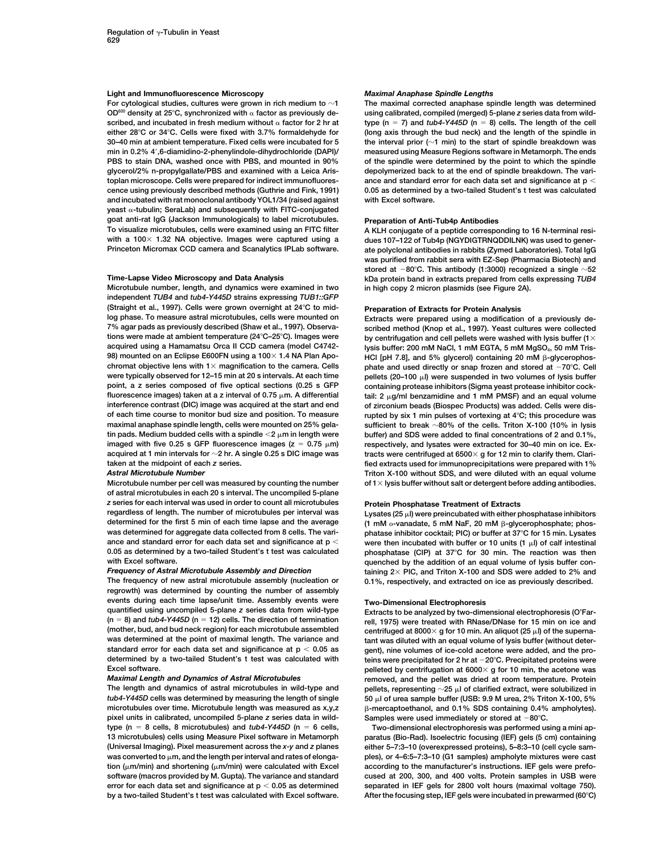## **Light and Immunofluorescence Microscopy** *Maximal Anaphase Spindle Lengths*

OD<sup>600</sup> density at 25°C, synchronized with α factor as previously de-<br>
scribed, and incubated in fresh medium without α factor for 2 hr at type (n = 7) and *tub4-Y445D* (n = 8) cells. The length of the cell scribed, and incubated in fresh medium without  $\alpha$  factor for 2 hr at **either 28C or 34C. Cells were fixed with 3.7% formaldehyde for (long axis through the bud neck) and the length of the spindle in 30–40 min at ambient temperature. Fixed cells were incubated for 5 the interval prior (1 min) to the start of spindle breakdown was min in 0.2% 4,6-diamidino-2-phenylindole-dihydrochloride (DAPI)/ measured using Measure Regions software in Metamorph. The ends PBS to stain DNA, washed once with PBS, and mounted in 90% of the spindle were determined by the point to which the spindle** glycerol/2% n-propylgallate/PBS and examined with a Leica Aris-<br>
depolymerized back to at the end of spindle breakdown. The vari**toplan microscope. Cells were prepared for indirect immunofluores- ance and standard error for each data set and significance at p cence using previously described methods (Guthrie and Fink, 1991) 0.05 as determined by a two-tailed Student's t test was calculated and incubated with rat monoclonal antibody YOL1/34 (raised against with Excel software. yeast -tubulin; SeraLab) and subsequently with FITC-conjugated goat anti-rat IgG (Jackson Immunologicals) to label microtubules. Preparation of Anti-Tub4p Antibodies To visualize microtubules, cells were examined using an FITC filter A KLH conjugate of a peptide corresponding to 16 N-terminal resi-**

**Microtubule number, length, and dynamics were examined in two in high copy 2 micron plasmids (see Figure 2A). independent** *TUB4* **and** *tub4-Y445D* **strains expressing** *TUB1::GFP* **(Straight et al., 1997). Cells were grown overnight at 24C to mid- Preparation of Extracts for Protein Analysis log phase. To measure astral microtubules, cells were mounted on Extracts were prepared using a modification of a previously de-7% agar pads as previously described (Shaw et al., 1997). Observa- scribed method (Knop et al., 1997). Yeast cultures were collected tions were made at ambient temperature (24C–25C). Images were by centrifugation and cell pellets were washed with lysis buffer (1 98) mounted on an Eclipse E600FN using a 100 × 1.4 NA Plan Apochromat objective lens with 1 magnification to the camera. Cells phate and used directly or snap frozen and stored at 70C. Cell were typically observed for 12–15 min at 20 s intervals. At each time** pellets (20–100 μl) were suspended in two volumes of lysis buffer<br>
point, a z series composed of five optical sections (0.25 s GFP containing proteas **point, a z series composed of five optical sections (0.25 s GFP containing protease inhibitors (Sigma yeast protease inhibitor cockinterference contrast (DIC) image was acquired at the start and end of zirconium beads (Biospec Products) was added. Cells were disof each time course to monitor bud size and position. To measure rupted by six 1 min pulses of vortexing at 4C; this procedure was maximal anaphase spindle length, cells were mounted on 25% gela- sufficient to break 80% of the cells. Triton X-100 (10% in lysis tin pads. Medium budded cells with a spindle 2 m in length were buffer) and SDS were added to final concentrations of 2 and 0.1%, acquired at 1 min intervals for 2 hr. A single 0.25 s DIC image was tracts were centrifuged at 6500 g for 12 min to clarify them. Claritaken at the midpoint of each** *z* **series. fied extracts used for immunoprecipitations were prepared with 1%**

**of astral microtubules in each 20 s interval. The uncompiled 5-plane** *z* **series for each interval was used in order to count all microtubules Protein Phosphatase Treatment of Extracts regardless of length. The number of microtubules per interval was Lysates (25 l) were preincubated with either phosphatase inhibitors** determined for the first 5 min of each time lapse and the average

**The frequency of new astral microtubule assembly (nucleation or 0.1%, respectively, and extracted on ice as previously described. regrowth) was determined by counting the number of assembly events during each time lapse/unit time. Assembly events were Two-Dimensional Electrophoresis quantified using uncompiled 5-plane** *z* **series data from wild-type Extracts to be analyzed by two-dimensional electrophoresis (O'Far-**

**microtubules over time. Microtubule length was measured as x,y,z pixel units in calibrated, uncompiled 5-plane** *z* **series data in wild- Samples were used immediately or stored at 80C. type (n 8 cells, 8 microtubules) and** *tub4-Y445D* **(n 6 cells, Two-dimensional electrophoresis was performed using a mini aperror for each data set and significance at p 0.05 as determined separated in IEF gels for 2800 volt hours (maximal voltage 750).**

**For cytological studies, cultures were grown in rich medium to 1 The maximal corrected anaphase spindle length was determined**

dues 107-122 of Tub4p (NGYDIGTRNQDDILNK) was used to gener-**Princeton Micromax CCD camera and Scanalytics IPLab software. ate polyclonal antibodies in rabbits (Zymed Laboratories). Total IgG was purified from rabbit sera with EZ-Sep (Pharmacia Biotech) and stored at 80C. This antibody (1:3000) recognized a single 52 Time-Lapse Video Microscopy and Data Analysis kDa protein band in extracts prepared from cells expressing** *TUB4*

lysis buffer: 200 mM NaCl, 1 mM EGTA, 5 mM MgSO<sub>4</sub>, 50 mM Tris-HCI [pH 7.8], and 5% glycerol) containing 20 mM  $\beta$ -glycerophos**fluorescence images) taken at a z interval of 0.75 m. A differential tail: 2 g/ml benzamidine and 1 mM PMSF) and an equal volume** respectively, and lysates were extracted for 30-40 min on ice. Ex-*Astral Microtubule Number* **Triton X-100 without SDS, and were diluted with an equal volume Microtubule number per cell was measured by counting the number of 1 lysis buffer without salt or detergent before adding antibodies.**

(1 mM o-vanadate, 5 mM NaF, 20 mM B-glycerophosphate; phos**was determined for aggregate data collected from 8 cells. The vari- phatase inhibitor cocktail; PIC) or buffer at 37C for 15 min. Lysates** ance and standard error for each data set and significance at  $p <$  were then incubated with buffer or 10 units (1  $\mu$ ) of calf intestinal **0.05 as determined by a two-tailed Student's t test was calculated phosphatase (CIP) at 37C for 30 min. The reaction was then** with Excel software.<br>**Frequency of Astral Microtubule Assembly and Direction and the author of an equal volume of lysis buffer con-**<br>**Frequency of Astral Microtubule Assembly and Direction by the addition 2**× PIC, and taining 2× PIC, and Triton X-100 and SDS were added to 2% and

**(n 8) and** *tub4-Y445D* **(n 12) cells. The direction of termination rell, 1975) were treated with RNase/DNase for 15 min on ice and (mother, bud, and bud neck region) for each microtubule assembled centrifuged at 8000 g for 10 min. An aliquot (25 l) of the superna**tant was diluted with an equal volume of lysis buffer (without deterstandard error for each data set and significance at  $p < 0.05$  as gent), nine volumes of ice-cold acetone were added, and the pro-<br>determined by a two-tailed Student's t test was calculated with teins were precipitated for teins were precipitated for 2 hr at  $-20^{\circ}$ C. Precipitated proteins were Excel software. *pelleted by centrifugation at 6000* **× g for 10 min, the acetone was** *Maximal Length and Dynamics of Astral Microtubules* **removed, and the pellet was dried at room temperature. Protein**<br>The length and dynamics of astral microtubules in wild-type and pellets, representing ~25  $\mu$  of clarif **The length and dynamics of astral microtubules in wild-type and** pellets, representing  $\sim$ 25 μl of clarified extract, were solubilized in tub4-Y445D cells was determined by measuring the length of single 50 μl of urea s *tub4-Y445D* **cells was determined by measuring the length of single 50 l of urea sample buffer (USB: 9.9 M urea, 2% Triton X-100, 5% -mercaptoethanol, and 0.1% SDS containing 0.4% ampholytes).**

**13 microtubules) cells using Measure Pixel software in Metamorph paratus (Bio-Rad). Isoelectric focusing (IEF) gels (5 cm) containing (Universal Imaging). Pixel measurement across the** *x-y* **and** *z* **planes either 5–7:3–10 (overexpressed proteins), 5–8:3–10 (cell cycle samwas converted to m, and the length per interval and rates of elonga- ples), or 4–6:5–7:3–10 (G1 samples) ampholyte mixtures were cast tion (m/min) and shortening (m/min) were calculated with Excel according to the manufacturer's instructions. IEF gels were prefosoftware (macros provided by M. Gupta). The variance and standard cused at 200, 300, and 400 volts. Protein samples in USB were by a two-tailed Student's t test was calculated with Excel software. After the focusing step, IEF gels were incubated in prewarmed (60C)**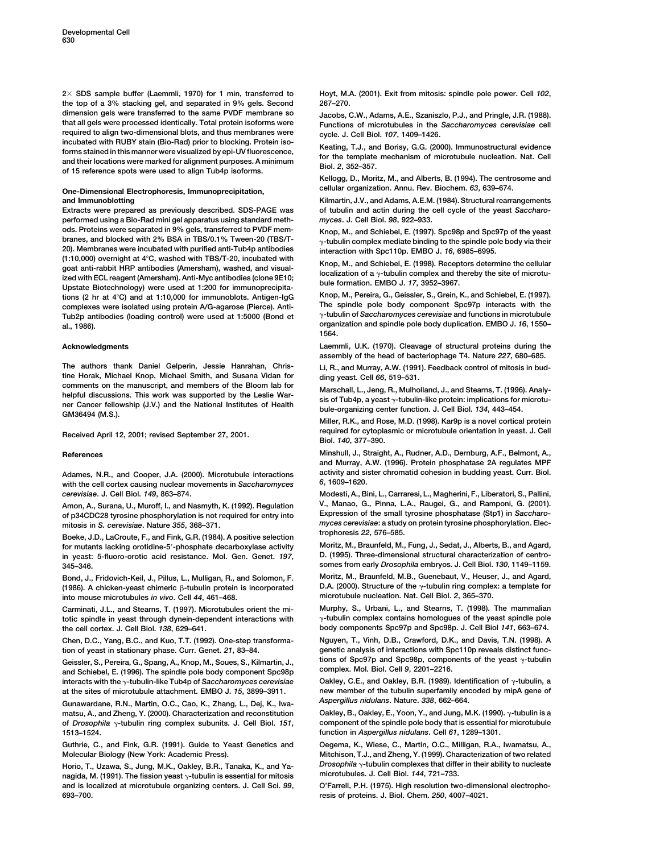**the top of a 3% stacking gel, and separated in 9% gels. Second 267–270. dimension gels were transferred to the same PVDF membrane so Jacobs, C.W., Adams, A.E., Szaniszlo, P.J., and Pringle, J.R. (1988). required to align two-dimensional blots, and thus membranes were cycle. J. Cell Biol.** *107***, 1409–1426.** mediate with NDB F staff (blo-had) prior to blocking. Protein iso-<br>forms stained in this manner were visualized by epi-UV fluorescence,<br>and their locations were marked for alignment purposes. A minimum<br>of the template mech

**performed using a Bio-Rad mini gel apparatus using standard meth-** *myces***. J. Cell Biol.** *98***, 922–933. ods. Proteins were separated in 9% gels, transferred to PVDF mem- Knop, M., and Schiebel, E. (1997). Spc98p and Spc97p of the yeast 20). Membranes were incubated with purified anti-Tub4p antibodies interaction with Spc110p. EMBO J.** *16***, 6985–6995.** (1.10,000) overlight at 4 C, washed with 103/1-20, included with<br>
goat anti-rabbit HRP antibodies (Amersham), washed, and visual<br>
ized with ECL reagent (Amersham), Anti-Myc antibodies (clone 9E10;<br>
Upstate Biotechnology) **Knop, M., Pereira, G., Geissler, S., Grein, K., and Schiebel, E. (1997). tions (2 hr at 4C) and at 1:10,000 for immunoblots. Antigen-IgG** complexes were isolated using protein A/G-agarose (Pierce). Anti-<br>Tub2p antibodies (loading control) were used at 1:5000 (Bond et y<sup>-tubulin of Saccharomyces cerevisiae and functions in microtubule</sup> Tub2p antibodies (loading control) were used at 1:5000 (Bond et **organization and spindle pole body duplication. EMBO J.** *16***, 1550– al., 1986).**

**The authors thank Daniel Gelperin, Jessie Hanrahan, Chris- Li, R., and Murray, A.W. (1991). Feedback control of mitosis in budtine Horak, Michael Knop, Michael Smith, and Susana Vidan for ding yeast. Cell** *66***, 519–531.** comments on the manuscript, and members of the Bloom lab for<br>helpful discussions. This work was supported by the Leslie War-<br>helpful discussions. This work was supported by the Leslie War-<br>ner Cancer fellowship (J.V.) and

Adames, N.R., and Cooper, J.A. (2000). Microtubule interactions activity and single activity and single activity and single activity and single activity and single activity and single activity and single activity and singl **with the cell cortex causing nuclear movements in** *Saccharomyces 6***, 1609–1620.** *cerevisiae***. J. Cell Biol.** *149***, 863–874. Modesti, A., Bini, L., Carraresi, L., Magherini, F., Liberatori, S., Pallini,**

of p34CDC28 tyrosine phosphorylation is not required for entry into

Boeke, J.D., LaCroute, F., and Fink, G.R. (1984). A positive selection **Moritz, M., Braunfeld, M., Fung, J., Sedat, J., Alberts, B., and Agard, for mutants lacking orotidine-5-phosphate decarboxylase activity D. (1995). Three-dimensional structural characterization of centro- in yeast: 5-fluoro-orotic acid resistance. Mol. Gen. Genet.** *197***, 345–346. somes from early** *Drosophila* **embryos. J. Cell Biol.** *130***, 1149–1159.**

(1986). A chicken-yeast chimeric β-tubulin protein is incorporated **D.A. (2000). Structure of the <sub>Y</sub>-tubulin ring complex: a template for microtubule nucleation. Nat. Cell Biol.** *2***, 365–370. into mouse microtubules** *in vivo***. Cell** *44***, 461–468.**

totic spindle in yeast through dynein-dependent interactions with  $\gamma$ -tubulin complex contains homologues of the yeast spindle pole **body components Spc97p and Spc98p. J. Cell Biol** *141***, 663–674. the cell cortex. J. Cell Biol.** *138***, 629–641.**

**tion of yeast in stationary phase. Curr. Genet.** *21***, 83–84. genetic analysis of interactions with Spc110p reveals distinct func-**

**interacts with the -tubulin-like Tub4p of** *Saccharomyces cerevisiae* **Oakley, C.E., and Oakley, B.R. (1989). Identification of -tubulin, a**

*Aspergillus nidulans***. Nature.** *338***, 662–664. Gunawardane, R.N., Martin, O.C., Cao, K., Zhang, L., Dej, K., Iwamatsu, A., and Zheng, Y. (2000). Characterization and reconstitution Oakley, B., Oakley, E., Yoon, Y., and Jung, M.K. (1990). -tubulin is a of** *Drosophila* **-tubulin ring complex subunits. J. Cell Biol.** *151***, component of the spindle pole body that is essential for microtubule 1513–1524. function in** *Aspergillus nidulans***. Cell** *61***, 1289–1301.**

**Guthrie, C., and Fink, G.R. (1991). Guide to Yeast Genetics and Oegema, K., Wiese, C., Martin, O.C., Milligan, R.A., Iwamatsu, A., Molecular Biology (New York: Academic Press). Mitchison, T.J., and Zheng, Y. (1999). Characterization of two related**

**microtubules. J. Cell Biol.** *144***, 721–733. nagida, M. (1991). The fission yeast -tubulin is essential for mitosis and is localized at microtubule organizing centers. J. Cell Sci.** *99***, O'Farrell, P.H. (1975). High resolution two-dimensional electropho-693–700. resis of proteins. J. Biol. Chem.** *250***, 4007–4021.**

**2 SDS sample buffer (Laemmli, 1970) for 1 min, transferred to Hoyt, M.A. (2001). Exit from mitosis: spindle pole power. Cell** *102***,**

Functions of microtubules in the *Saccharomyces cerevisiae* cell

**Kellogg, D., Moritz, M., and Alberts, B. (1994). The centrosome and One-Dimensional Electrophoresis, Immunoprecipitation, cellular organization. Annu. Rev. Biochem.** *63***, 639–674.**

**and Immunoblotting Kilmartin, J.V., and Adams, A.E.M. (1984). Structural rearrangements Extracts were prepared as previously described. SDS-PAGE was of tubulin and actin during the cell cycle of the yeast** *Saccharo-*

 $\gamma$ -tubulin complex mediate binding to the spindle pole body via their

**1564.**

**Acknowledgments Laemmli, U.K. (1970). Cleavage of structural proteins during the assembly of the head of bacteriophage T4. Nature** *227***, 680–685.**

**Miller, R.K., and Rose, M.D. (1998). Kar9p is a novel cortical protein required for cytoplasmic or microtubule orientation in yeast. J. Cell Received April 12, 2001; revised September 27, 2001. Biol.** *<sup>140</sup>***, 377–390.**

**References Minshull, J., Straight, A., Rudner, A.D., Dernburg, A.F., Belmont, A., and Murray, A.W. (1996). Protein phosphatase 2A regulates MPF**

**Amon, A., Surana, U., Muroff, I., and Nasmyth, K. (1992). Regulation V., Manao, G., Pinna, L.A., Raugei, G., and Ramponi, G. (2001).** mitosis in *S. cerevisiae*. Nature 355, 368–371. *myces cerevisiae*: a study on protein tyrosine phosphorylation. Elec-<br> **Poster La Currity Constitution** of the activity of the strephoresis 22, 576–585.

**Bond, J., Fridovich-Keil, J., Pillus, L., Mulligan, R., and Solomon, F. Moritz, M., Braunfeld, M.B., Guenebaut, V., Heuser, J., and Agard,**

**Carminati, J.L., and Stearns, T. (1997). Microtubules orient the mi- Murphy, S., Urbani, L., and Stearns, T. (1998). The mammalian**

**Chen, D.C., Yang, B.C., and Kuo, T.T. (1992). One-step transforma- Nguyen, T., Vinh, D.B., Crawford, D.K., and Davis, T.N. (1998). A** Geissler, S., Pereira, G., Spang, A., Knop, M., Soues, S., Kilmartin, J., tions of Spc97p and Spc98p, components of the yeast y-tubulin<br>and Schiebel, E. (1996). The spindle pole body component Spc98p complex. Mol. Biol. C

new member of the tubulin superfamily encoded by mipA gene of

Horio, T., Uzawa, S., Jung, M.K., Oakley, B.R., Tanaka, K., and Ya-<br>nagida M. (1991). The fission veget actubulin is essential for mitosis microtubules. J. Cell Biol. 144, 721–733.